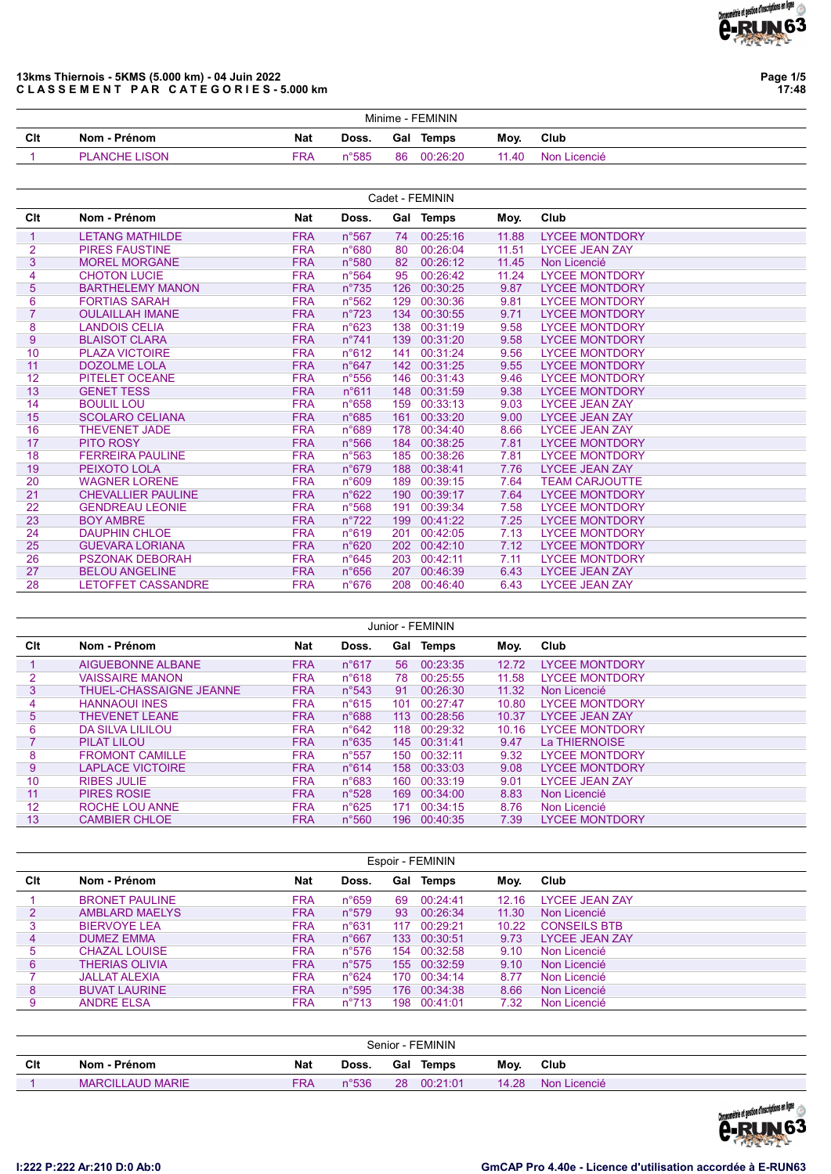

Page 1/5 17:48

### 13kms Thiernois - 5KMS (5.000 km) - 04 Juin 2022 CLASSEMENT PAR CATEGORIES-5.000 km

|     | Minime - FEMININ     |     |                 |     |          |       |              |  |  |  |  |
|-----|----------------------|-----|-----------------|-----|----------|-------|--------------|--|--|--|--|
| Clt | Nom - Prénom         | Nat | Doss.           | Gal | Temps    | Moy.  | Club         |  |  |  |  |
|     | <b>PLANCHE LISON</b> | FRA | $n^{\circ}$ 585 | 86  | 00:26:20 | 11.40 | Non Licencié |  |  |  |  |

|                | Cadet - FEMININ           |            |                 |                  |              |       |                       |  |  |  |  |  |  |
|----------------|---------------------------|------------|-----------------|------------------|--------------|-------|-----------------------|--|--|--|--|--|--|
| Clt            | Nom - Prénom              | Nat        | Doss.           |                  | Gal Temps    | Moy.  | Club                  |  |  |  |  |  |  |
| 1              | <b>LETANG MATHILDE</b>    | <b>FRA</b> | n°567           | 74               | 00:25:16     | 11.88 | <b>LYCEE MONTDORY</b> |  |  |  |  |  |  |
| $\overline{2}$ | <b>PIRES FAUSTINE</b>     | <b>FRA</b> | n°680           | 80               | 00:26:04     | 11.51 | <b>LYCEE JEAN ZAY</b> |  |  |  |  |  |  |
| 3              | <b>MOREL MORGANE</b>      | <b>FRA</b> | n°580           | 82               | 00:26:12     | 11.45 | Non Licencié          |  |  |  |  |  |  |
| 4              | <b>CHOTON LUCIE</b>       | <b>FRA</b> | $n^{\circ}$ 564 | 95               | 00:26:42     | 11.24 | <b>LYCEE MONTDORY</b> |  |  |  |  |  |  |
| 5              | <b>BARTHELEMY MANON</b>   | <b>FRA</b> | $n^{\circ}735$  | 126              | 00:30:25     | 9.87  | <b>LYCEE MONTDORY</b> |  |  |  |  |  |  |
| 6              | <b>FORTIAS SARAH</b>      | <b>FRA</b> | $n^{\circ}562$  | 129              | 00:30:36     | 9.81  | <b>LYCEE MONTDORY</b> |  |  |  |  |  |  |
| $\overline{7}$ | <b>OULAILLAH IMANE</b>    | <b>FRA</b> | $n^{\circ}723$  | 134              | 00:30:55     | 9.71  | <b>LYCEE MONTDORY</b> |  |  |  |  |  |  |
| 8              | <b>LANDOIS CELIA</b>      | <b>FRA</b> | n°623           | 138              | 00:31:19     | 9.58  | <b>LYCEE MONTDORY</b> |  |  |  |  |  |  |
| 9              | <b>BLAISOT CLARA</b>      | <b>FRA</b> | $n^{\circ}741$  | 139              | 00:31:20     | 9.58  | <b>LYCEE MONTDORY</b> |  |  |  |  |  |  |
| 10             | <b>PLAZA VICTOIRE</b>     | <b>FRA</b> | n°612           | 141              | 00:31:24     | 9.56  | <b>LYCEE MONTDORY</b> |  |  |  |  |  |  |
| 11             | <b>DOZOLME LOLA</b>       | <b>FRA</b> | $n^{\circ}647$  | 142 <sup>2</sup> | 00:31:25     | 9.55  | <b>LYCEE MONTDORY</b> |  |  |  |  |  |  |
| 12             | <b>PITELET OCEANE</b>     | <b>FRA</b> | $n^{\circ}$ 556 |                  | 146 00:31:43 | 9.46  | <b>LYCEE MONTDORY</b> |  |  |  |  |  |  |
| 13             | <b>GENET TESS</b>         | <b>FRA</b> | n°611           | 148              | 00:31:59     | 9.38  | <b>LYCEE MONTDORY</b> |  |  |  |  |  |  |
| 14             | <b>BOULIL LOU</b>         | <b>FRA</b> | $n^{\circ}658$  | 159              | 00:33:13     | 9.03  | <b>LYCEE JEAN ZAY</b> |  |  |  |  |  |  |
| 15             | <b>SCOLARO CELIANA</b>    | <b>FRA</b> | $n^{\circ}685$  | 161              | 00:33:20     | 9.00  | <b>LYCEE JEAN ZAY</b> |  |  |  |  |  |  |
| 16             | <b>THEVENET JADE</b>      | <b>FRA</b> | n°689           | 178              | 00:34:40     | 8.66  | <b>LYCEE JEAN ZAY</b> |  |  |  |  |  |  |
| 17             | <b>PITO ROSY</b>          | <b>FRA</b> | $n^{\circ}$ 566 | 184              | 00:38:25     | 7.81  | <b>LYCEE MONTDORY</b> |  |  |  |  |  |  |
| 18             | <b>FERREIRA PAULINE</b>   | <b>FRA</b> | $n^{\circ}563$  | 185              | 00:38:26     | 7.81  | <b>LYCEE MONTDORY</b> |  |  |  |  |  |  |
| 19             | PEIXOTO LOLA              | <b>FRA</b> | n°679           | 188              | 00:38:41     | 7.76  | <b>LYCEE JEAN ZAY</b> |  |  |  |  |  |  |
| 20             | <b>WAGNER LORENE</b>      | <b>FRA</b> | n°609           | 189              | 00:39:15     | 7.64  | <b>TEAM CARJOUTTE</b> |  |  |  |  |  |  |
| 21             | <b>CHEVALLIER PAULINE</b> | <b>FRA</b> | n°622           | 190              | 00:39:17     | 7.64  | <b>LYCEE MONTDORY</b> |  |  |  |  |  |  |
| 22             | <b>GENDREAU LEONIE</b>    | <b>FRA</b> | $n^{\circ}568$  | 191              | 00:39:34     | 7.58  | <b>LYCEE MONTDORY</b> |  |  |  |  |  |  |
| 23             | <b>BOY AMBRE</b>          | <b>FRA</b> | $n^{\circ}722$  | 199              | 00:41:22     | 7.25  | <b>LYCEE MONTDORY</b> |  |  |  |  |  |  |
| 24             | <b>DAUPHIN CHLOE</b>      | <b>FRA</b> | n°619           | 201              | 00:42:05     | 7.13  | <b>LYCEE MONTDORY</b> |  |  |  |  |  |  |
| 25             | <b>GUEVARA LORIANA</b>    | <b>FRA</b> | n°620           | 202              | 00:42:10     | 7.12  | <b>LYCEE MONTDORY</b> |  |  |  |  |  |  |
| 26             | <b>PSZONAK DEBORAH</b>    | <b>FRA</b> | $n^{\circ}645$  | 203              | 00:42:11     | 7.11  | <b>LYCEE MONTDORY</b> |  |  |  |  |  |  |
| 27             | <b>BELOU ANGELINE</b>     | <b>FRA</b> | $n^{\circ}656$  | 207              | 00:46:39     | 6.43  | <b>LYCEE JEAN ZAY</b> |  |  |  |  |  |  |
| 28             | <b>LETOFFET CASSANDRE</b> | <b>FRA</b> | $n^{\circ}676$  |                  | 208 00:46:40 | 6.43  | <b>LYCEE JEAN ZAY</b> |  |  |  |  |  |  |

|                |                         |            |                |     | Junior - FEMININ |       |                       |
|----------------|-------------------------|------------|----------------|-----|------------------|-------|-----------------------|
| Clt            | Nom - Prénom            | <b>Nat</b> | Doss.          | Gal | <b>Temps</b>     | Moy.  | Club                  |
|                | AIGUEBONNE ALBANE       | <b>FRA</b> | $n^{\circ}617$ | 56  | 00:23:35         | 12.72 | <b>LYCEE MONTDORY</b> |
| $\overline{2}$ | <b>VAISSAIRE MANON</b>  | <b>FRA</b> | n°618          | 78. | 00:25:55         | 11.58 | <b>LYCEE MONTDORY</b> |
| 3              | THUEL-CHASSAIGNE JEANNE | <b>FRA</b> | $n^{\circ}543$ | 91  | 00:26:30         | 11.32 | Non Licencié          |
| 4              | <b>HANNAOUI INES</b>    | <b>FRA</b> | $n^{\circ}615$ | 101 | 00:27:47         | 10.80 | <b>LYCEE MONTDORY</b> |
| 5 <sup>1</sup> | THEVENET I FANE         | <b>FRA</b> | $n^{\circ}688$ | 113 | 00:28:56         | 10.37 | <b>LYCEE JEAN ZAY</b> |
| 6              | <b>DA SILVA LILILOU</b> | <b>FRA</b> | $n^{\circ}642$ | 118 | 00:29:32         | 10.16 | <b>LYCEE MONTDORY</b> |
|                | PILAT LILOU             | <b>FRA</b> | $n^{\circ}635$ |     | 145 00:31:41     | 9.47  | La THIERNOISE         |
| 8              | <b>FROMONT CAMILLE</b>  | <b>FRA</b> | $n^{\circ}557$ | 150 | 00:32:11         | 9.32  | <b>LYCEE MONTDORY</b> |
| $9^{\circ}$    | <b>LAPLACE VICTOIRE</b> | <b>FRA</b> | $n^{\circ}614$ | 158 | 00:33:03         | 9.08  | <b>LYCEE MONTDORY</b> |
| 10             | <b>RIBES JULIE</b>      | <b>FRA</b> | $n^{\circ}683$ | 160 | 00:33:19         | 9.01  | <b>LYCEE JEAN ZAY</b> |
| 11             | <b>PIRES ROSIE</b>      | <b>FRA</b> | $n^{\circ}528$ | 169 | 00:34:00         | 8.83  | Non Licencié          |
| 12             | ROCHE LOU ANNE          | <b>FRA</b> | $n^{\circ}625$ | 171 | 00:34:15         | 8.76  | Non Licencié          |
| 13             | <b>CAMBIER CHLOE</b>    | <b>FRA</b> | $n^{\circ}560$ | 196 | 00:40:35         | 7.39  | <b>LYCEE MONTDORY</b> |

|     |                       |            |                |     | Espoir - FEMININ |       |                       |
|-----|-----------------------|------------|----------------|-----|------------------|-------|-----------------------|
| Clt | Nom - Prénom          | Nat        | Doss.          | Gal | Temps            | Moy.  | Club                  |
|     | <b>BRONET PAULINE</b> | <b>FRA</b> | $n^{\circ}659$ | 69  | 00:24:41         | 12.16 | <b>LYCEE JEAN ZAY</b> |
|     | <b>AMBLARD MAELYS</b> | <b>FRA</b> | $n^{\circ}579$ | 93  | 00:26:34         | 11.30 | Non Licencié          |
|     | <b>BIERVOYE LEA</b>   | <b>FRA</b> | $n^{\circ}631$ | 117 | 00:29:21         | 10.22 | <b>CONSEILS BTB</b>   |
| 4   | <b>DUMEZ EMMA</b>     | <b>FRA</b> | $n^{\circ}667$ | 133 | 00:30:51         | 9.73  | <b>LYCEE JEAN ZAY</b> |
| 5   | <b>CHAZAL LOUISE</b>  | <b>FRA</b> | $n^{\circ}576$ | 154 | 00:32:58         | 9.10  | Non Licencié          |
| 6   | <b>THERIAS OLIVIA</b> | <b>FRA</b> | $n^{\circ}575$ |     | 155 00:32:59     | 9.10  | Non Licencié          |
|     | <b>JALLAT ALEXIA</b>  | <b>FRA</b> | $n^{\circ}624$ | 170 | 00:34:14         | 8.77  | Non Licencié          |
| 8   | <b>BUVAT LAURINE</b>  | <b>FRA</b> | $n^{\circ}595$ | 176 | 00:34:38         | 8.66  | Non Licencié          |
| 9   | <b>ANDRE ELSA</b>     | <b>FRA</b> | $n^{\circ}713$ | 198 | 00:41:01         | 7.32  | Non Licencié          |
|     |                       |            |                |     |                  |       |                       |

|     | Senior - FEMININ        |            |       |     |          |       |              |  |  |  |  |
|-----|-------------------------|------------|-------|-----|----------|-------|--------------|--|--|--|--|
| Clt | Nom - Prénom            | <b>Nat</b> | Doss. | Gal | Temps    | Moy.  | Club         |  |  |  |  |
|     | <b>MARCILLAUD MARIE</b> | <b>FRA</b> | n°536 | 28  | 00:21:01 | 14.28 | Non Licencié |  |  |  |  |

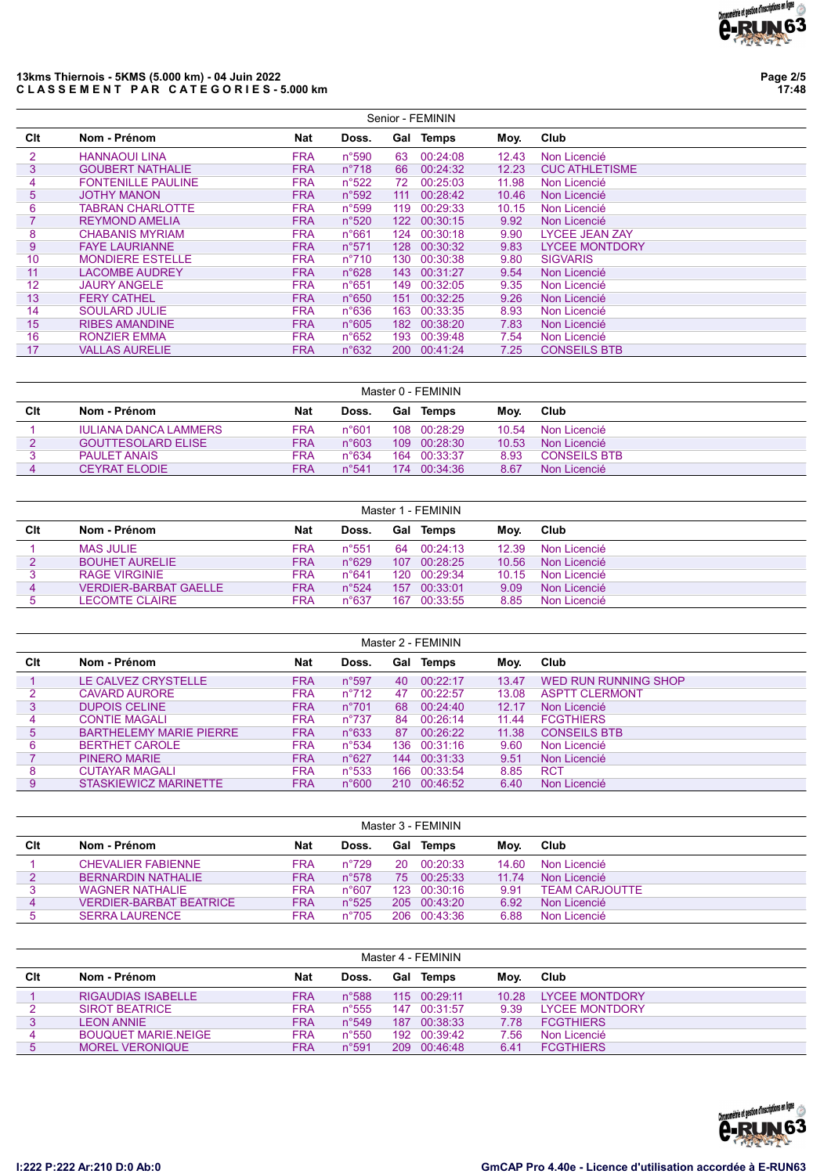

### 13kms Thiernois - 5KMS (5.000 km) - 04 Juin 2022 CLASSEMENT PAR CATEGORIES-5.000 km

Page 2/5 17:48

|     |                           |            |                |      | Senior - FEMININ |       |                       |
|-----|---------------------------|------------|----------------|------|------------------|-------|-----------------------|
| Clt | Nom - Prénom              | <b>Nat</b> | Doss.          | Gal  | Temps            | Moy.  | Club                  |
| 2   | <b>HANNAOUI LINA</b>      | <b>FRA</b> | n°590          | 63   | 00:24:08         | 12.43 | Non Licencié          |
| 3   | <b>GOUBERT NATHALIE</b>   | <b>FRA</b> | $n^{\circ}718$ | 66   | 00:24:32         | 12.23 | <b>CUC ATHLETISME</b> |
| 4   | <b>FONTENILLE PAULINE</b> | <b>FRA</b> | $n^{\circ}522$ | 72   | 00:25:03         | 11.98 | Non Licencié          |
| 5   | <b>JOTHY MANON</b>        | <b>FRA</b> | $n^{\circ}592$ | 111  | 00:28:42         | 10.46 | Non Licencié          |
| 6   | <b>TABRAN CHARLOTTE</b>   | <b>FRA</b> | n°599          | 119  | 00:29:33         | 10.15 | Non Licencié          |
|     | <b>REYMOND AMELIA</b>     | <b>FRA</b> | n°520          | 122  | 00:30:15         | 9.92  | Non Licencié          |
| 8   | <b>CHABANIS MYRIAM</b>    | <b>FRA</b> | n°661          | 124  | 00:30:18         | 9.90  | <b>LYCEE JEAN ZAY</b> |
| 9   | <b>FAYE LAURIANNE</b>     | <b>FRA</b> | $n^{\circ}571$ | 128  | 00:30:32         | 9.83  | <b>LYCEE MONTDORY</b> |
| 10  | <b>MONDIERE ESTELLE</b>   | <b>FRA</b> | $n^{\circ}710$ | 130. | 00:30:38         | 9.80  | <b>SIGVARIS</b>       |
| 11  | <b>LACOMBE AUDREY</b>     | <b>FRA</b> | n°628          | 143  | 00:31:27         | 9.54  | Non Licencié          |
| 12  | <b>JAURY ANGELE</b>       | <b>FRA</b> | $n^{\circ}651$ | 149  | 00:32:05         | 9.35  | Non Licencié          |
| 13  | <b>FERY CATHEL</b>        | <b>FRA</b> | $n^{\circ}650$ | 151  | 00:32:25         | 9.26  | Non Licencié          |
| 14  | <b>SOULARD JULIE</b>      | <b>FRA</b> | $n^{\circ}636$ | 163  | 00:33:35         | 8.93  | Non Licencié          |
| 15  | <b>RIBES AMANDINE</b>     | <b>FRA</b> | $n^{\circ}605$ | 182  | 00:38:20         | 7.83  | Non Licencié          |
| 16  | <b>RONZIER EMMA</b>       | <b>FRA</b> | $n^{\circ}652$ | 193  | 00:39:48         | 7.54  | Non Licencié          |
| 17  | <b>VALLAS AURELIE</b>     | <b>FRA</b> | n°632          | 200  | 00:41:24         | 7.25  | <b>CONSEILS BTB</b>   |

|     |                              |            |                |      | Master 0 - FEMININ |       |                     |
|-----|------------------------------|------------|----------------|------|--------------------|-------|---------------------|
| Clt | Nom - Prénom                 | Nat        | Doss.          |      | <b>Gal Temps</b>   | Mov.  | Club                |
|     | <b>IULIANA DANCA LAMMERS</b> | FRA        | n°601          |      | 108 00:28:29       | 10.54 | Non Licencié        |
|     | <b>GOUTTESOLARD ELISE</b>    | <b>FRA</b> | $n^{\circ}603$ | 109. | 00:28:30           | 10.53 | Non Licencié        |
|     | <b>PAULET ANAIS</b>          | <b>FRA</b> | $n^{\circ}634$ | 164  | 00:33:37           | 8.93  | <b>CONSEILS BTB</b> |
|     | <b>CEYRAT ELODIE</b>         | FRA        | $n^{\circ}541$ | 174  | 00.34.36           | 8.67  | Non Licencié        |

| Master 1 - FEMININ |                              |            |                |     |           |       |              |  |  |  |  |
|--------------------|------------------------------|------------|----------------|-----|-----------|-------|--------------|--|--|--|--|
| Clt                | Nom - Prénom                 | Nat        | Doss.          |     | Gal Temps | Moy.  | Club         |  |  |  |  |
|                    | <b>MAS JULIE</b>             | <b>FRA</b> | $n^{\circ}551$ | 64  | 00:24:13  | 12.39 | Non Licencié |  |  |  |  |
|                    | <b>BOUHET AURELIE</b>        | <b>FRA</b> | $n^{\circ}629$ | 107 | 00:28:25  | 10.56 | Non Licencié |  |  |  |  |
|                    | <b>RAGE VIRGINIE</b>         | <b>FRA</b> | $n^{\circ}641$ | 120 | 00:29:34  | 10.15 | Non Licencié |  |  |  |  |
| 4                  | <b>VERDIER-BARBAT GAELLE</b> | <b>FRA</b> | $n^{\circ}524$ | 157 | 00:33:01  | 9.09  | Non Licencié |  |  |  |  |
|                    | <b>LECOMTE CLAIRE</b>        | <b>FRA</b> | $n^{\circ}637$ | 167 | 00:33:55  | 8.85  | Non Licencié |  |  |  |  |

|     |                                |            |                |     | Master 2 - FEMININ |       |                       |
|-----|--------------------------------|------------|----------------|-----|--------------------|-------|-----------------------|
| Clt | Nom - Prénom                   | <b>Nat</b> | Doss.          | Gal | Temps              | Moy.  | Club                  |
|     | LE CALVEZ CRYSTELLE            | <b>FRA</b> | $n^{\circ}597$ | 40  | 00:22:17           | 13.47 | WED RUN RUNNING SHOP  |
|     | CAVARD AURORE                  | <b>FRA</b> | $n^{\circ}712$ | 47  | 00:22:57           | 13.08 | <b>ASPTT CLERMONT</b> |
| 3   | <b>DUPOIS CELINE</b>           | <b>FRA</b> | $n^{\circ}701$ | 68  | 00:24:40           | 12.17 | Non Licencié          |
| 4   | <b>CONTIE MAGALI</b>           | <b>FRA</b> | $n^{\circ}737$ | 84  | 00:26:14           | 11.44 | <b>FCGTHIERS</b>      |
| 5   | <b>BARTHELEMY MARIE PIERRE</b> | <b>FRA</b> | $n^{\circ}633$ | 87  | 00:26:22           | 11.38 | <b>CONSEILS BTB</b>   |
| 6   | <b>BERTHET CAROLE</b>          | <b>FRA</b> | $n^{\circ}534$ | 136 | 00:31:16           | 9.60  | Non Licencié          |
|     | <b>PINERO MARIE</b>            | <b>FRA</b> | $n^{\circ}627$ | 144 | 00:31:33           | 9.51  | Non Licencié          |
| 8   | <b>CUTAYAR MAGALI</b>          | <b>FRA</b> | $n^{\circ}533$ | 166 | 00:33:54           | 8.85  | <b>RCT</b>            |
| 9   | STASKIEWICZ MARINETTE          | <b>FRA</b> | n°600          | 210 | 00:46:52           | 6.40  | Non Licencié          |

|     | Master 3 - FEMININ             |            |                |     |                  |       |                       |  |  |  |  |  |
|-----|--------------------------------|------------|----------------|-----|------------------|-------|-----------------------|--|--|--|--|--|
| Clt | Nom - Prénom                   | Nat        | Doss.          |     | <b>Gal Temps</b> | Mov.  | Club                  |  |  |  |  |  |
|     | <b>CHEVALIER FABIENNE</b>      | <b>FRA</b> | $n^{\circ}729$ | 20  | 00:20:33         | 14.60 | Non Licencié          |  |  |  |  |  |
|     | <b>BERNARDIN NATHALIF</b>      | <b>FRA</b> | $n^{\circ}578$ | 75  | 00:25:33         | 11.74 | Non Licencié          |  |  |  |  |  |
|     | <b>WAGNER NATHALIE</b>         | <b>FRA</b> | $n^{\circ}607$ |     | 123 00:30:16     | 9.91  | <b>TEAM CARJOUTTE</b> |  |  |  |  |  |
| 4   | <b>VERDIER-BARBAT BEATRICE</b> | <b>FRA</b> | $n^{\circ}525$ |     | 205 00:43:20     | 6.92  | Non Licencié          |  |  |  |  |  |
|     | <b>SERRA LAURENCE</b>          | <b>FRA</b> | $n^{\circ}705$ | 206 | 00:43:36         | 6.88  | Non Licencié          |  |  |  |  |  |
|     |                                |            |                |     |                  |       |                       |  |  |  |  |  |

|     | Master 4 - FEMININ         |            |                |      |                  |       |                       |  |  |  |  |  |
|-----|----------------------------|------------|----------------|------|------------------|-------|-----------------------|--|--|--|--|--|
| Clt | Nom - Prénom               | Nat        | Doss.          |      | <b>Gal Temps</b> | Mov.  | Club                  |  |  |  |  |  |
|     | <b>RIGAUDIAS ISABELLE</b>  | <b>FRA</b> | $n^{\circ}588$ |      | 115 00:29:11     | 10.28 | <b>LYCEE MONTDORY</b> |  |  |  |  |  |
|     | <b>SIROT BEATRICE</b>      | <b>FRA</b> | $n^{\circ}555$ | 147  | 00:31:57         | 9 39  | <b>LYCEE MONTDORY</b> |  |  |  |  |  |
|     | <b>LEON ANNIE</b>          | <b>FRA</b> | $n^{\circ}549$ | 187  | 00:38:33         | 7.78  | <b>FCGTHIFRS</b>      |  |  |  |  |  |
|     | <b>BOUQUET MARIE.NEIGE</b> | <b>FRA</b> | $n^{\circ}550$ | 192. | 00:39:42         | 7.56  | Non Licencié          |  |  |  |  |  |
|     | MOREL VERONIQUE            | <b>FRA</b> | $n^{\circ}591$ | 209. | 00.46.48         | 6.41  | <b>FCGTHIERS</b>      |  |  |  |  |  |

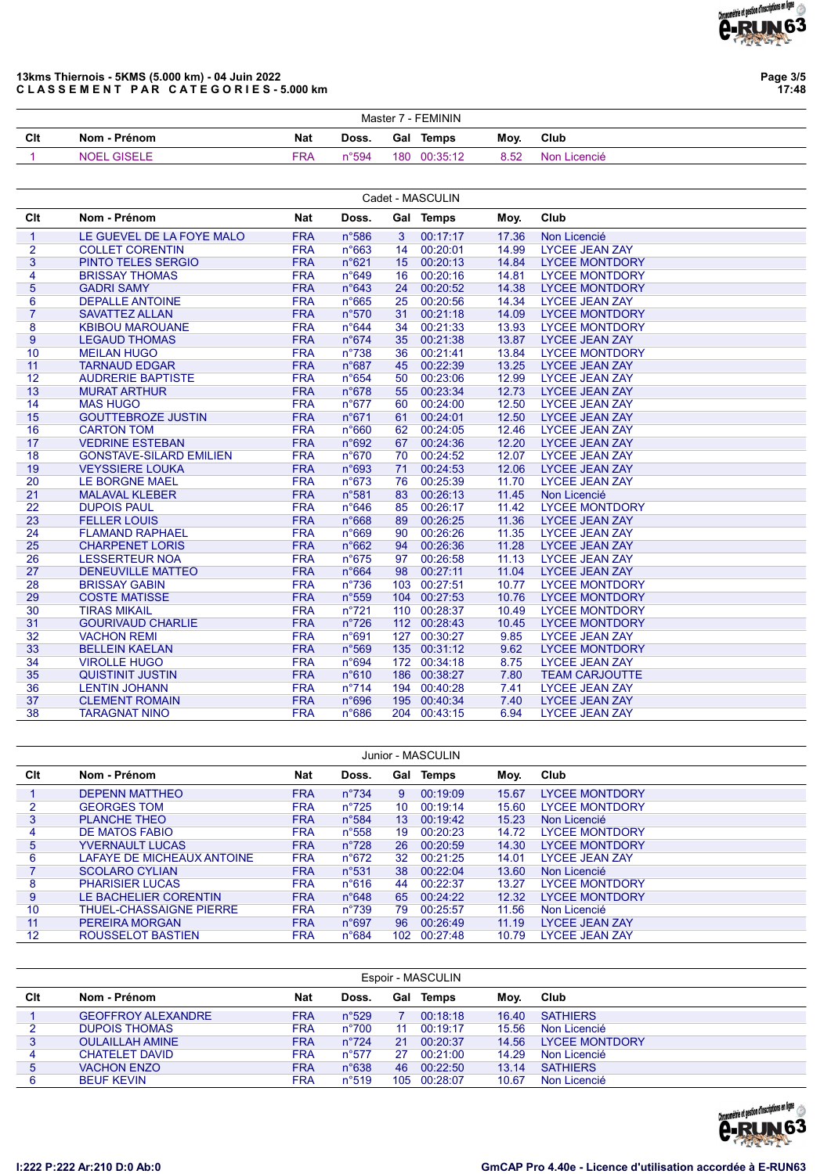

Page 3/5 17:48

### 13kms Thiernois - 5KMS (5.000 km) - 04 Juin 2022 CLASSEMENT PAR CATEGORIES-5.000 km

|     | Master 7 - FEMININ |            |                |  |              |      |              |  |  |  |
|-----|--------------------|------------|----------------|--|--------------|------|--------------|--|--|--|
| Clt | Nom - Prénom       | Nat        | Doss.          |  | Gal Temps    | Moy. | Club         |  |  |  |
|     | <b>NOEL GISELE</b> | <b>FRA</b> | $n^{\circ}594$ |  | 180 00:35:12 | 8.52 | Non Licencié |  |  |  |

|                |                                |            |                |    | Cadet - MASCULIN |       |                       |
|----------------|--------------------------------|------------|----------------|----|------------------|-------|-----------------------|
| Clt            | Nom - Prénom                   | Nat        | Doss.          |    | Gal Temps        | Moy.  | Club                  |
| $\mathbf{1}$   | LE GUEVEL DE LA FOYE MALO      | <b>FRA</b> | n°586          | 3  | 00:17:17         | 17.36 | Non Licencié          |
| $\overline{2}$ | <b>COLLET CORENTIN</b>         | <b>FRA</b> | $n^{\circ}663$ | 14 | 00:20:01         | 14.99 | <b>LYCEE JEAN ZAY</b> |
| $\overline{3}$ | <b>PINTO TELES SERGIO</b>      | <b>FRA</b> | n°621          | 15 | 00:20:13         | 14.84 | <b>LYCEE MONTDORY</b> |
| 4              | <b>BRISSAY THOMAS</b>          | <b>FRA</b> | n°649          | 16 | 00:20:16         | 14.81 | <b>LYCEE MONTDORY</b> |
| 5              | <b>GADRI SAMY</b>              | <b>FRA</b> | $n^{\circ}643$ | 24 | 00:20:52         | 14.38 | <b>LYCEE MONTDORY</b> |
| 6              | <b>DEPALLE ANTOINE</b>         | <b>FRA</b> | $n^{\circ}665$ | 25 | 00:20:56         | 14.34 | <b>LYCEE JEAN ZAY</b> |
| $\overline{7}$ | <b>SAVATTEZ ALLAN</b>          | <b>FRA</b> | n°570          | 31 | 00:21:18         | 14.09 | <b>LYCEE MONTDORY</b> |
| 8              | <b>KBIBOU MAROUANE</b>         | <b>FRA</b> | $n^{\circ}644$ | 34 | 00:21:33         | 13.93 | <b>LYCEE MONTDORY</b> |
| 9              | <b>LEGAUD THOMAS</b>           | <b>FRA</b> | $n^{\circ}674$ | 35 | 00:21:38         | 13.87 | <b>LYCEE JEAN ZAY</b> |
| 10             | <b>MEILAN HUGO</b>             | <b>FRA</b> | $n^{\circ}738$ | 36 | 00:21:41         | 13.84 | <b>LYCEE MONTDORY</b> |
| 11             | <b>TARNAUD EDGAR</b>           | <b>FRA</b> | n°687          | 45 | 00:22:39         | 13.25 | <b>LYCEE JEAN ZAY</b> |
| 12             | <b>AUDRERIE BAPTISTE</b>       | <b>FRA</b> | $n^{\circ}654$ | 50 | 00:23:06         | 12.99 | <b>LYCEE JEAN ZAY</b> |
| 13             | <b>MURAT ARTHUR</b>            | <b>FRA</b> | n°678          | 55 | 00:23:34         | 12.73 | <b>LYCEE JEAN ZAY</b> |
| 14             | <b>MAS HUGO</b>                | <b>FRA</b> | $n^{\circ}677$ | 60 | 00:24:00         | 12.50 | <b>LYCEE JEAN ZAY</b> |
| 15             | <b>GOUTTEBROZE JUSTIN</b>      | <b>FRA</b> | n°671          | 61 | 00:24:01         | 12.50 | <b>LYCEE JEAN ZAY</b> |
| 16             | <b>CARTON TOM</b>              | <b>FRA</b> | n°660          | 62 | 00:24:05         | 12.46 | <b>LYCEE JEAN ZAY</b> |
| 17             | <b>VEDRINE ESTEBAN</b>         | <b>FRA</b> | n°692          | 67 | 00:24:36         | 12.20 | <b>LYCEE JEAN ZAY</b> |
| 18             | <b>GONSTAVE-SILARD EMILIEN</b> | <b>FRA</b> | n°670          | 70 | 00:24:52         | 12.07 | <b>LYCEE JEAN ZAY</b> |
| 19             | <b>VEYSSIERE LOUKA</b>         | <b>FRA</b> | n°693          | 71 | 00:24:53         | 12.06 | <b>LYCEE JEAN ZAY</b> |
| 20             | LE BORGNE MAEL                 | <b>FRA</b> | $n^{\circ}673$ | 76 | 00:25:39         | 11.70 | <b>LYCEE JEAN ZAY</b> |
| 21             | <b>MALAVAL KLEBER</b>          | <b>FRA</b> | n°581          | 83 | 00:26:13         | 11.45 | Non Licencié          |
| 22             | <b>DUPOIS PAUL</b>             | <b>FRA</b> | $n^{\circ}646$ | 85 | 00:26:17         | 11.42 | <b>LYCEE MONTDORY</b> |
| 23             | <b>FELLER LOUIS</b>            | <b>FRA</b> | n°668          | 89 | 00:26:25         | 11.36 | <b>LYCEE JEAN ZAY</b> |
| 24             | <b>FLAMAND RAPHAEL</b>         | <b>FRA</b> | n°669          | 90 | 00:26:26         | 11.35 | <b>LYCEE JEAN ZAY</b> |
| 25             | <b>CHARPENET LORIS</b>         | <b>FRA</b> | n°662          | 94 | 00:26:36         | 11.28 | <b>LYCEE JEAN ZAY</b> |
| 26             | <b>LESSERTEUR NOA</b>          | <b>FRA</b> | $n^{\circ}675$ | 97 | 00:26:58         | 11.13 | <b>LYCEE JEAN ZAY</b> |
| 27             | <b>DENEUVILLE MATTEO</b>       | <b>FRA</b> | $n^{\circ}664$ | 98 | 00:27:11         | 11.04 | <b>LYCEE JEAN ZAY</b> |
| 28             | <b>BRISSAY GABIN</b>           | <b>FRA</b> | $n^{\circ}736$ |    | 103 00:27:51     | 10.77 | <b>LYCEE MONTDORY</b> |
| 29             | <b>COSTE MATISSE</b>           | <b>FRA</b> | n°559          |    | 104 00:27:53     | 10.76 | <b>LYCEE MONTDORY</b> |
| 30             | <b>TIRAS MIKAIL</b>            | <b>FRA</b> | $n^{\circ}721$ |    | 110 00:28:37     | 10.49 | <b>LYCEE MONTDORY</b> |
| 31             | <b>GOURIVAUD CHARLIE</b>       | <b>FRA</b> | $n^{\circ}726$ |    | 112 00:28:43     | 10.45 | <b>LYCEE MONTDORY</b> |
| 32             | <b>VACHON REMI</b>             | <b>FRA</b> | n°691          |    | 127 00:30:27     | 9.85  | <b>LYCEE JEAN ZAY</b> |
| 33             | <b>BELLEIN KAELAN</b>          | <b>FRA</b> | n°569          |    | 135 00:31:12     | 9.62  | <b>LYCEE MONTDORY</b> |
| 34             | <b>VIROLLE HUGO</b>            | <b>FRA</b> | n°694          |    | 172 00:34:18     | 8.75  | <b>LYCEE JEAN ZAY</b> |
| 35             | <b>QUISTINIT JUSTIN</b>        | <b>FRA</b> | n°610          |    | 186 00:38:27     | 7.80  | <b>TEAM CARJOUTTE</b> |
| 36             | <b>LENTIN JOHANN</b>           | <b>FRA</b> | $n^{\circ}714$ |    | 194 00:40:28     | 7.41  | <b>LYCEE JEAN ZAY</b> |
| 37             | <b>CLEMENT ROMAIN</b>          | <b>FRA</b> | n°696          |    | 195 00:40:34     | 7.40  | <b>LYCEE JEAN ZAY</b> |
| 38             | <b>TARAGNAT NINO</b>           | <b>FRA</b> | n°686          |    | 204 00:43:15     | 6.94  | <b>LYCEE JEAN ZAY</b> |

|     |                                |            |                |                  | Junior - MASCULIN |       |                       |
|-----|--------------------------------|------------|----------------|------------------|-------------------|-------|-----------------------|
| Clt | Nom - Prénom                   | Nat        | Doss.          |                  | Gal Temps         | Moy.  | Club                  |
|     | <b>DEPENN MATTHEO</b>          | <b>FRA</b> | $n^{\circ}734$ | 9                | 00:19:09          | 15.67 | <b>LYCEE MONTDORY</b> |
|     | <b>GEORGES TOM</b>             | <b>FRA</b> | $n^{\circ}725$ | 10               | 00:19:14          | 15.60 | <b>LYCEE MONTDORY</b> |
| 3   | <b>PLANCHE THEO</b>            | <b>FRA</b> | $n^{\circ}584$ | 13               | 00:19:42          | 15.23 | Non Licencié          |
| 4   | DE MATOS FABIO                 | <b>FRA</b> | $n^{\circ}558$ | 19               | 00:20:23          | 14.72 | <b>LYCEE MONTDORY</b> |
| 5   | <b>YVERNAULT LUCAS</b>         | <b>FRA</b> | $n^{\circ}728$ | 26               | 00:20:59          | 14.30 | <b>LYCEE MONTDORY</b> |
| 6   | LAFAYE DE MICHEAUX ANTOINE     | <b>FRA</b> | $n^{\circ}672$ | 32               | 00:21:25          | 14.01 | <b>LYCEE JEAN ZAY</b> |
|     | <b>SCOLARO CYLIAN</b>          | <b>FRA</b> | $n^{\circ}531$ | 38               | 00:22:04          | 13.60 | Non Licencié          |
| 8   | <b>PHARISIER LUCAS</b>         | <b>FRA</b> | n°616          | 44               | 00:22:37          | 13.27 | <b>LYCEE MONTDORY</b> |
| 9   | LE BACHELIER CORENTIN          | <b>FRA</b> | $n^{\circ}648$ | 65               | 00:24:22          | 12.32 | <b>LYCEE MONTDORY</b> |
| 10  | <b>THUEL-CHASSAIGNE PIERRE</b> | <b>FRA</b> | $n^{\circ}739$ | 79               | 00:25:57          | 11.56 | Non Licencié          |
| 11  | PEREIRA MORGAN                 | <b>FRA</b> | $n^{\circ}697$ | 96               | 00:26:49          | 11.19 | <b>LYCEE JEAN ZAY</b> |
| 12  | ROUSSELOT BASTIEN              | <b>FRA</b> | $n^{\circ}684$ | 102 <sub>1</sub> | 00:27:48          | 10.79 | <b>LYCEE JEAN ZAY</b> |

| Clt | Nom - Prénom              | Nat        | Doss.          |     | <b>Gal Temps</b> | Moy.  | Club                  |
|-----|---------------------------|------------|----------------|-----|------------------|-------|-----------------------|
|     | <b>GEOFFROY ALEXANDRE</b> | <b>FRA</b> | $n^{\circ}529$ |     | 00:18:18         | 16.40 | <b>SATHIFRS</b>       |
|     | <b>DUPOIS THOMAS</b>      | <b>FRA</b> | $n^{\circ}700$ | 11  | 00.19.17         | 15.56 | Non Licencié          |
|     | <b>OULAILLAH AMINE</b>    | <b>FRA</b> | $n^{\circ}724$ | 21  | 00:20:37         | 14.56 | <b>LYCEE MONTDORY</b> |
|     | <b>CHATELET DAVID</b>     | <b>FRA</b> | $n^{\circ}577$ | 27  | 00:21:00         | 14.29 | Non Licencié          |
| 5   | <b>VACHON ENZO</b>        | <b>FRA</b> | $n^{\circ}638$ | 46  | 00:22:50         | 13.14 | <b>SATHIERS</b>       |
|     | <b>BEUF KEVIN</b>         | <b>FRA</b> | $n^{\circ}519$ | 105 | 00:28:07         | 10.67 | Non Licencié          |

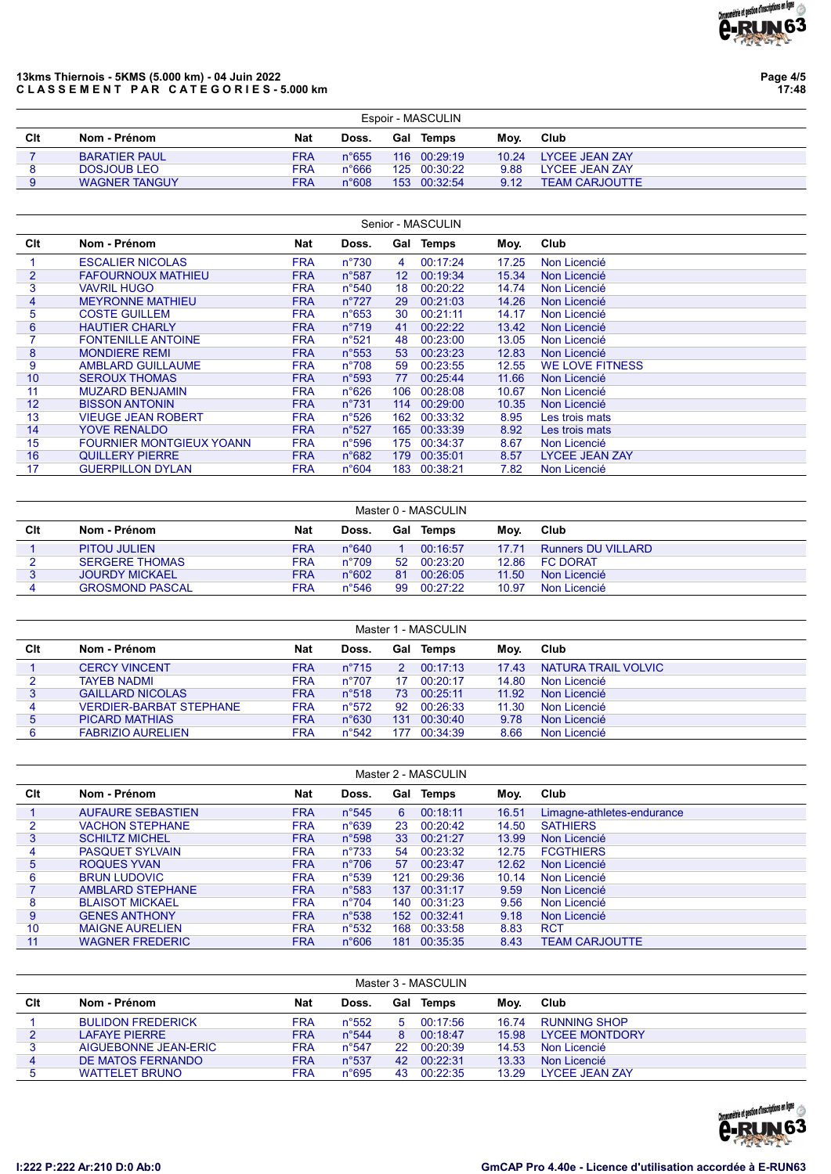

# 13kms Thiernois - 5KMS (5.000 km) - 04 Juin 2022 CLASSEMENT PAR CATEGORIES-5.000 km

Page 4/5 17:48

|     | Espoir - MASCULIN    |            |                |     |              |       |                       |  |  |  |  |  |
|-----|----------------------|------------|----------------|-----|--------------|-------|-----------------------|--|--|--|--|--|
| Clt | Nom - Prénom         | <b>Nat</b> | Doss.          | Gal | Temps        | Mov.  | Club                  |  |  |  |  |  |
|     | <b>BARATIER PAUL</b> | <b>FRA</b> | $n^{\circ}655$ |     | 116 00:29:19 | 10.24 | LYCEE JEAN ZAY        |  |  |  |  |  |
|     | DOSJOUB LEO          | <b>FRA</b> | $n^{\circ}666$ |     | 125 00:30:22 | 9.88  | LYCEE JEAN ZAY        |  |  |  |  |  |
|     | <b>WAGNER TANGUY</b> | <b>FRA</b> | n°608          |     | 153 00:32:54 | 9.12  | <b>TEAM CARJOUTTE</b> |  |  |  |  |  |

|                | Senior - MASCULIN               |            |                |                 |           |       |                        |  |  |  |  |  |
|----------------|---------------------------------|------------|----------------|-----------------|-----------|-------|------------------------|--|--|--|--|--|
| Clt            | Nom - Prénom                    | Nat        | Doss.          |                 | Gal Temps | Moy.  | Club                   |  |  |  |  |  |
|                | <b>ESCALIER NICOLAS</b>         | <b>FRA</b> | $n^{\circ}730$ | 4               | 00:17:24  | 17.25 | Non Licencié           |  |  |  |  |  |
| $\overline{2}$ | <b>FAFOURNOUX MATHIEU</b>       | <b>FRA</b> | $n^{\circ}587$ | 12 <sup>°</sup> | 00:19:34  | 15.34 | Non Licencié           |  |  |  |  |  |
| 3              | <b>VAVRIL HUGO</b>              | <b>FRA</b> | $n^{\circ}540$ | 18              | 00:20:22  | 14.74 | Non Licencié           |  |  |  |  |  |
| 4              | <b>MEYRONNE MATHIEU</b>         | <b>FRA</b> | $n^{\circ}727$ | 29              | 00:21:03  | 14.26 | Non Licencié           |  |  |  |  |  |
| 5              | <b>COSTE GUILLEM</b>            | <b>FRA</b> | $n^{\circ}653$ | 30              | 00:21:11  | 14.17 | Non Licencié           |  |  |  |  |  |
| 6              | <b>HAUTIER CHARLY</b>           | <b>FRA</b> | $n^{\circ}719$ | 41              | 00:22:22  | 13.42 | Non Licencié           |  |  |  |  |  |
|                | <b>FONTENILLE ANTOINE</b>       | <b>FRA</b> | n°521          | 48              | 00:23:00  | 13.05 | Non Licencié           |  |  |  |  |  |
| 8              | <b>MONDIERE REMI</b>            | <b>FRA</b> | $n^{\circ}553$ | 53              | 00:23:23  | 12.83 | Non Licencié           |  |  |  |  |  |
| 9              | <b>AMBLARD GUILLAUME</b>        | <b>FRA</b> | $n^{\circ}708$ | 59              | 00:23:55  | 12.55 | <b>WE LOVE FITNESS</b> |  |  |  |  |  |
| 10             | <b>SEROUX THOMAS</b>            | <b>FRA</b> | $n^{\circ}593$ | 77              | 00:25:44  | 11.66 | Non Licencié           |  |  |  |  |  |
| 11             | <b>MUZARD BENJAMIN</b>          | <b>FRA</b> | $n^{\circ}626$ | 106             | 00:28:08  | 10.67 | Non Licencié           |  |  |  |  |  |
| 12             | <b>BISSON ANTONIN</b>           | <b>FRA</b> | $n^{\circ}731$ | 114             | 00:29:00  | 10.35 | Non Licencié           |  |  |  |  |  |
| 13             | <b>VIEUGE JEAN ROBERT</b>       | <b>FRA</b> | $n^{\circ}526$ | 162             | 00:33:32  | 8.95  | Les trois mats         |  |  |  |  |  |
| 14             | <b>YOVE RENALDO</b>             | <b>FRA</b> | $n^{\circ}527$ | 165             | 00:33:39  | 8.92  | Les trois mats         |  |  |  |  |  |
| 15             | <b>FOURNIER MONTGIEUX YOANN</b> | <b>FRA</b> | $n^{\circ}596$ | 175             | 00:34:37  | 8.67  | Non Licencié           |  |  |  |  |  |
| 16             | QUILLERY PIERRE                 | <b>FRA</b> | n°682          | 179             | 00:35:01  | 8.57  | <b>LYCEE JEAN ZAY</b>  |  |  |  |  |  |
| 17             | <b>GUERPILLON DYLAN</b>         | FRA        | n°604          | 183             | 00:38:21  | 7.82  | Non Licencié           |  |  |  |  |  |

|     | Master 0 - MASCULIN    |            |                |     |          |       |                           |  |  |  |  |  |
|-----|------------------------|------------|----------------|-----|----------|-------|---------------------------|--|--|--|--|--|
| Clt | Nom - Prénom           | <b>Nat</b> | Doss.          | Gal | Temps    | Mov.  | Club                      |  |  |  |  |  |
|     | <b>PITOU JULIEN</b>    | <b>FRA</b> | $n^{\circ}640$ |     | 00:16:57 | 17.71 | <b>Runners DU VILLARD</b> |  |  |  |  |  |
|     | <b>SERGERE THOMAS</b>  | FRA        | $n^{\circ}709$ | 52  | 00.23.20 | 12.86 | <b>FC DORAT</b>           |  |  |  |  |  |
|     | <b>JOURDY MICKAEL</b>  | <b>FRA</b> | $n^{\circ}602$ | 81  | 00:26:05 | 11.50 | Non Licencié              |  |  |  |  |  |
|     | <b>GROSMOND PASCAL</b> | <b>FRA</b> | $n^{\circ}546$ | -99 | 00:27:22 | 10.97 | Non Licencié              |  |  |  |  |  |

|     | Master 1 - MASCULIN            |            |                |               |                  |       |                            |  |  |  |  |  |  |
|-----|--------------------------------|------------|----------------|---------------|------------------|-------|----------------------------|--|--|--|--|--|--|
| Clt | Nom - Prénom                   | <b>Nat</b> | Doss.          |               | <b>Gal Temps</b> | Moy.  | Club                       |  |  |  |  |  |  |
|     | <b>CERCY VINCENT</b>           | <b>FRA</b> | $n^{\circ}715$ | $\mathcal{P}$ | 00.17.13         | 1743  | <b>NATURA TRAIL VOLVIC</b> |  |  |  |  |  |  |
|     | <b>TAYEB NADMI</b>             | <b>FRA</b> | $n^{\circ}707$ | 17            | 00:20:17         | 14.80 | Non Licencié               |  |  |  |  |  |  |
|     | <b>GAILLARD NICOLAS</b>        | <b>FRA</b> | $n^{\circ}518$ | 73            | 00:25:11         | 11.92 | Non Licencié               |  |  |  |  |  |  |
|     | <b>VERDIER-BARBAT STEPHANE</b> | <b>FRA</b> | $n^{\circ}572$ | 92            | 00:26:33         | 11.30 | Non Licencié               |  |  |  |  |  |  |
| 5   | <b>PICARD MATHIAS</b>          | <b>FRA</b> | $n^{\circ}630$ | 131           | 00:30:40         | 9.78  | Non Licencié               |  |  |  |  |  |  |
|     | <b>FABRIZIO AURELIEN</b>       | FRA        | $n^{\circ}542$ | 177           | 00:34:39         | 8.66  | Non Licencié               |  |  |  |  |  |  |

|                 |                          |            |                |     | Master 2 - MASCULIN |       |                            |
|-----------------|--------------------------|------------|----------------|-----|---------------------|-------|----------------------------|
| Clt             | Nom - Prénom             | <b>Nat</b> | Doss.          | Gal | <b>Temps</b>        | Moy.  | Club                       |
|                 | <b>AUFAURE SEBASTIEN</b> | <b>FRA</b> | $n^{\circ}545$ | 6   | 00:18:11            | 16.51 | Limagne-athletes-endurance |
|                 | <b>VACHON STEPHANE</b>   | <b>FRA</b> | $n^{\circ}639$ | 23  | 00:20:42            | 14.50 | <b>SATHIERS</b>            |
| 3               | <b>SCHILTZ MICHEL</b>    | <b>FRA</b> | $n^{\circ}598$ | 33  | 00:21:27            | 13.99 | Non Licencié               |
| 4               | <b>PASQUET SYLVAIN</b>   | <b>FRA</b> | $n^{\circ}733$ | 54  | 00:23:32            | 12.75 | <b>FCGTHIERS</b>           |
| $5\overline{)}$ | ROQUES YVAN              | <b>FRA</b> | $n^{\circ}706$ | 57  | 00:23:47            | 12.62 | Non Licencié               |
| 6               | <b>BRUN LUDOVIC</b>      | <b>FRA</b> | $n^{\circ}539$ | 121 | 00:29:36            | 10.14 | Non Licencié               |
|                 | <b>AMBLARD STEPHANE</b>  | <b>FRA</b> | $n^{\circ}583$ | 137 | 00:31:17            | 9.59  | Non Licencié               |
| 8               | <b>BLAISOT MICKAEL</b>   | <b>FRA</b> | $n^{\circ}704$ | 140 | 00:31:23            | 9.56  | Non Licencié               |
| 9               | <b>GENES ANTHONY</b>     | <b>FRA</b> | $n^{\circ}538$ | 152 | 00:32:41            | 9.18  | Non Licencié               |
| 10              | <b>MAIGNE AURELIEN</b>   | <b>FRA</b> | $n^{\circ}532$ | 168 | 00:33:58            | 8.83  | <b>RCT</b>                 |
| 11              | <b>WAGNER FREDERIC</b>   | <b>FRA</b> | n°606          | 181 | 00:35:35            | 8.43  | <b>TEAM CARJOUTTE</b>      |

|     | Master 3 - MASCULIN      |            |                |     |          |       |                        |  |  |  |  |  |
|-----|--------------------------|------------|----------------|-----|----------|-------|------------------------|--|--|--|--|--|
| Clt | Nom - Prénom             | Nat        | Doss.          | Gal | Temps    | Mov.  | Club                   |  |  |  |  |  |
|     | <b>BULIDON FREDERICK</b> | <b>FRA</b> | $n^{\circ}552$ | 5   | 00:17:56 | 16.74 | RUNNING SHOP           |  |  |  |  |  |
| 2   | <b>LAFAYE PIERRE</b>     | <b>FRA</b> | $n^{\circ}544$ | 8   | 00:18:47 | 15.98 | <b>LYCEE MONTDORY</b>  |  |  |  |  |  |
|     | AIGUEBONNE JEAN-ERIC     | FRA        | $n^{\circ}547$ | 22  | 00:20:39 | 14.53 | Non Licencié           |  |  |  |  |  |
| 4   | DE MATOS FERNANDO        | <b>FRA</b> | $n^{\circ}537$ | 42  | 00:22:31 | 13.33 | Non Licencié           |  |  |  |  |  |
|     | <b>WATTELET BRUNO</b>    | <b>FRA</b> | $n^{\circ}695$ | 43  | 00:22:35 | 13.29 | <b>I YCEE JEAN ZAY</b> |  |  |  |  |  |